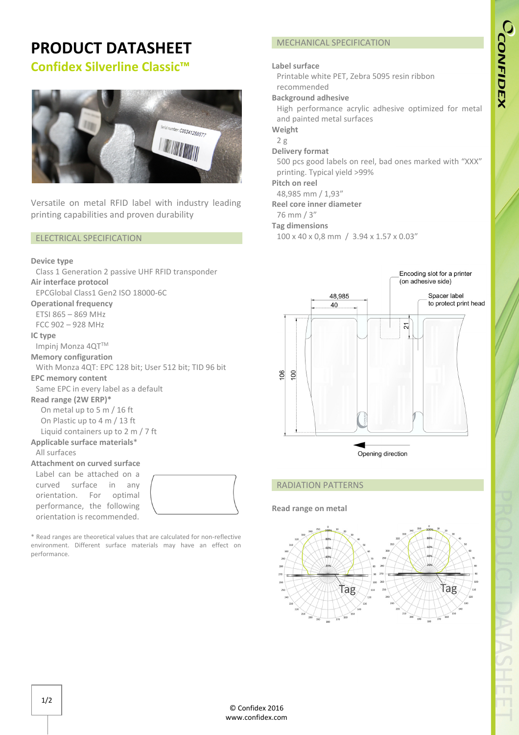# **PRODUCT DATASHEET Confidex Silverline Classic™**



Versatile on metal RFID label with industry leading printing capabilities and proven durability

## ELECTRICAL SPECIFICATION

## **Device type**

Class 1 Generation 2 passive UHF RFID transponder **Air interface protocol**  EPCGlobal Class1 Gen2 ISO 18000-6C **Operational frequency** ETSI 865 – 869 MHz FCC 902 – 928 MHz **IC type**  Impinj Monza 4QT™ **Memory configuration**  With Monza 4QT: EPC 128 bit; User 512 bit; TID 96 bit **EPC memory content**  Same EPC in every label as a default **Read range (2W ERP)\*** On metal up to 5 m / 16 ft On Plastic up to 4 m / 13 ft Liquid containers up to 2 m / 7 ft **Applicable surface materials**\* All surfaces **Attachment on curved surface** Label can be attached on a curved surface in any orientation. For optimal performance, the following



\* Read ranges are theoretical values that are calculated for non-reflective environment. Different surface materials may have an effect on performance.

orientation is recommended.

## MECHANICAL SPECIFICATION

## **Label surface**

Printable white PET, Zebra 5095 resin ribbon recommended

## **Background adhesive**

High performance acrylic adhesive optimized for metal and painted metal surfaces

**Weight**

#### 2 g **Delivery format**

500 pcs good labels on reel, bad ones marked with "XXX" printing. Typical yield >99%

**Pitch on reel**

48,985 mm / 1,93"

## **Reel core inner diameter**

76 mm / 3"

## **Tag dimensions**

100 x 40 x 0,8 mm / 3.94 x 1.57 x 0.03"



## RADIATION PATTERNS

## **Read range on metal**